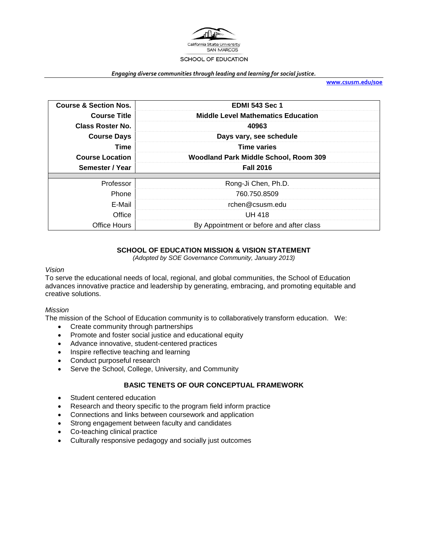

#### *Engaging diverse communities through leading and learning for social justice.*

**[www.csusm.edu/soe](http://www.csusm.edu/soe)**

| <b>Course &amp; Section Nos.</b> | <b>EDMI 543 Sec 1</b>                     |
|----------------------------------|-------------------------------------------|
| <b>Course Title</b>              | <b>Middle Level Mathematics Education</b> |
| Class Roster No.                 | 40963                                     |
| <b>Course Days</b>               | Days vary, see schedule                   |
| <b>Time</b>                      | <b>Time varies</b>                        |
| <b>Course Location</b>           | Woodland Park Middle School, Room 309     |
|                                  |                                           |
| Semester / Year                  | <b>Fall 2016</b>                          |
|                                  |                                           |
| Professor                        | Rong-Ji Chen, Ph.D.                       |
| Phone                            | 760.750.8509                              |
| E-Mail                           | rchen@csusm.edu                           |
| Office                           | <b>UH 418</b>                             |

## **SCHOOL OF EDUCATION MISSION & VISION STATEMENT**

*(Adopted by SOE Governance Community, January 2013)*

### *Vision*

To serve the educational needs of local, regional, and global communities, the School of Education advances innovative practice and leadership by generating, embracing, and promoting equitable and creative solutions.

### *Mission*

The mission of the School of Education community is to collaboratively transform education. We:

- Create community through partnerships
- Promote and foster social justice and educational equity
- Advance innovative, student-centered practices
- Inspire reflective teaching and learning
- Conduct purposeful research
- Serve the School, College, University, and Community

### **BASIC TENETS OF OUR CONCEPTUAL FRAMEWORK**

- Student centered education
- Research and theory specific to the program field inform practice
- Connections and links between coursework and application
- Strong engagement between faculty and candidates
- Co-teaching clinical practice
- Culturally responsive pedagogy and socially just outcomes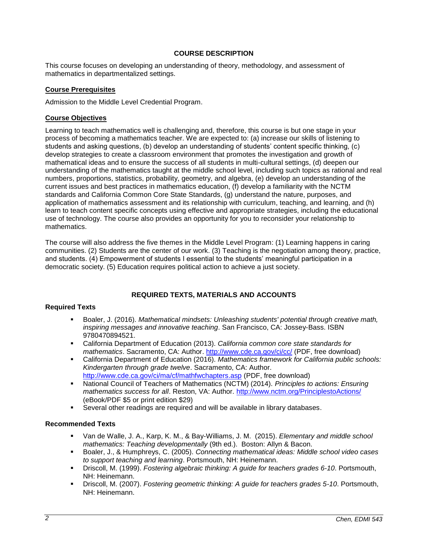## **COURSE DESCRIPTION**

This course focuses on developing an understanding of theory, methodology, and assessment of mathematics in departmentalized settings.

### **Course Prerequisites**

Admission to the Middle Level Credential Program.

### **Course Objectives**

Learning to teach mathematics well is challenging and, therefore, this course is but one stage in your process of becoming a mathematics teacher. We are expected to: (a) increase our skills of listening to students and asking questions, (b) develop an understanding of students' content specific thinking, (c) develop strategies to create a classroom environment that promotes the investigation and growth of mathematical ideas and to ensure the success of all students in multi-cultural settings, (d) deepen our understanding of the mathematics taught at the middle school level, including such topics as rational and real numbers, proportions, statistics, probability, geometry, and algebra, (e) develop an understanding of the current issues and best practices in mathematics education, (f) develop a familiarity with the NCTM standards and California Common Core State Standards, (g) understand the nature, purposes, and application of mathematics assessment and its relationship with curriculum, teaching, and learning, and (h) learn to teach content specific concepts using effective and appropriate strategies, including the educational use of technology. The course also provides an opportunity for you to reconsider your relationship to mathematics.

The course will also address the five themes in the Middle Level Program: (1) Learning happens in caring communities. (2) Students are the center of our work. (3) Teaching is the negotiation among theory, practice, and students. (4) Empowerment of students I essential to the students' meaningful participation in a democratic society. (5) Education requires political action to achieve a just society.

## **REQUIRED TEXTS, MATERIALS AND ACCOUNTS**

### **Required Texts**

- Boaler, J. (2016). *Mathematical mindsets: Unleashing students' potential through creative math, inspiring messages and innovative teaching*. San Francisco, CA: Jossey-Bass. ISBN 9780470894521.
- California Department of Education (2013). *California common core state standards for mathematics*. Sacramento, CA: Author.<http://www.cde.ca.gov/ci/cc/> (PDF, free download)
- California Department of Education (2016). *Mathematics framework for California public schools: Kindergarten through grade twelve*. Sacramento, CA: Author. <http://www.cde.ca.gov/ci/ma/cf/mathfwchapters.asp> (PDF, free download)
- National Council of Teachers of Mathematics (NCTM) (2014). *Principles to actions: Ensuring mathematics success for all*. Reston, VA: Author.<http://www.nctm.org/PrinciplestoActions/> (eBook/PDF \$5 or print edition \$29)
- Several other readings are required and will be available in library databases.

### **Recommended Texts**

- Van de Walle, J. A., Karp, K. M., & Bay-Williams, J. M. (2015). *Elementary and middle school mathematics: Teaching developmentally* (9th ed.). Boston: Allyn & Bacon.
- Boaler, J., & Humphreys, C. (2005). *Connecting mathematical ideas: Middle school video cases to support teaching and learning*. Portsmouth, NH: Heinemann.
- Driscoll, M. (1999). *Fostering algebraic thinking: A guide for teachers grades 6-10*. Portsmouth, NH: Heinemann.
- Driscoll, M. (2007). *Fostering geometric thinking: A guide for teachers grades 5-10*. Portsmouth, NH: Heinemann.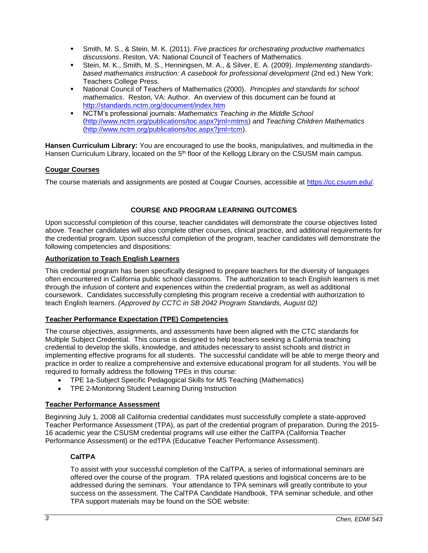- Smith, M. S., & Stein, M. K. (2011). *Five practices for orchestrating productive mathematics discussions*. Reston, VA: National Council of Teachers of Mathematics.
- Stein, M. K., Smith, M. S., Henningsen, M. A., & Silver, E. A. (2009). *Implementing standardsbased mathematics instruction: A casebook for professional development* (2nd ed.) New York: Teachers College Press.
- National Council of Teachers of Mathematics (2000). *Principles and standards for school mathematics*. Reston, VA: Author. An overview of this document can be found at <http://standards.nctm.org/document/index.htm>
- NCTM's professional journals: *Mathematics Teaching in the Middle School* [\(http://www.nctm.org/publications/toc.aspx?jrnl=mtms\)](http://www.nctm.org/publications/toc.aspx?jrnl=mtms) and *Teaching Children Mathematics* [\(http://www.nctm.org/publications/toc.aspx?jrnl=tcm\)](http://www.nctm.org/publications/toc.aspx?jrnl=tcm).

**Hansen Curriculum Library:** You are encouraged to use the books, manipulatives, and multimedia in the Hansen Curriculum Library, located on the 5<sup>th</sup> floor of the Kellogg Library on the CSUSM main campus.

## **Cougar Courses**

The course materials and assignments are posted at Cougar Courses, accessible at [https://cc.csusm.edu/.](https://cc.csusm.edu/)

## **COURSE AND PROGRAM LEARNING OUTCOMES**

Upon successful completion of this course, teacher candidates will demonstrate the course objectives listed above. Teacher candidates will also complete other courses, clinical practice, and additional requirements for the credential program. Upon successful completion of the program, teacher candidates will demonstrate the following competencies and dispositions:

### **Authorization to Teach English Learners**

This credential program has been specifically designed to prepare teachers for the diversity of languages often encountered in California public school classrooms. The authorization to teach English learners is met through the infusion of content and experiences within the credential program, as well as additional coursework. Candidates successfully completing this program receive a credential with authorization to teach English learners. *(Approved by CCTC in SB 2042 Program Standards, August 02)*

## **Teacher Performance Expectation (TPE) Competencies**

The course objectives, assignments, and assessments have been aligned with the CTC standards for Multiple Subject Credential. This course is designed to help teachers seeking a California teaching credential to develop the skills, knowledge, and attitudes necessary to assist schools and district in implementing effective programs for all students. The successful candidate will be able to merge theory and practice in order to realize a comprehensive and extensive educational program for all students. You will be required to formally address the following TPEs in this course:

- TPE 1a-Subject Specific Pedagogical Skills for MS Teaching (Mathematics)
- TPE 2-Monitoring Student Learning During Instruction

## **Teacher Performance Assessment**

Beginning July 1, 2008 all California credential candidates must successfully complete a state-approved Teacher Performance Assessment (TPA), as part of the credential program of preparation. During the 2015- 16 academic year the CSUSM credential programs will use either the CalTPA (California Teacher Performance Assessment) or the edTPA (Educative Teacher Performance Assessment).

## **CalTPA**

To assist with your successful completion of the CalTPA, a series of informational seminars are offered over the course of the program. TPA related questions and logistical concerns are to be addressed during the seminars. Your attendance to TPA seminars will greatly contribute to your success on the assessment. The CalTPA Candidate Handbook, TPA seminar schedule, and other TPA support materials may be found on the SOE website: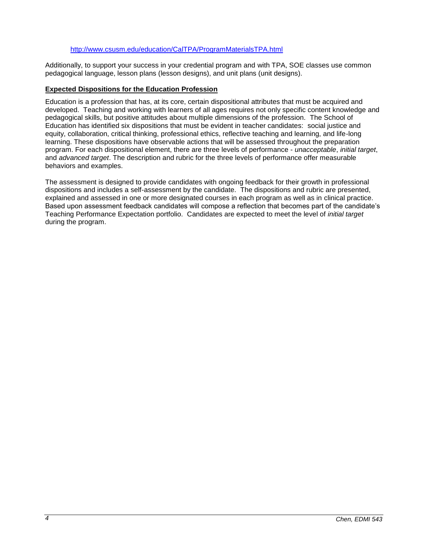### <http://www.csusm.edu/education/CalTPA/ProgramMaterialsTPA.html>

Additionally, to support your success in your credential program and with TPA, SOE classes use common pedagogical language, lesson plans (lesson designs), and unit plans (unit designs).

### **Expected Dispositions for the Education Profession**

Education is a profession that has, at its core, certain dispositional attributes that must be acquired and developed. Teaching and working with learners of all ages requires not only specific content knowledge and pedagogical skills, but positive attitudes about multiple dimensions of the profession. The School of Education has identified six dispositions that must be evident in teacher candidates: social justice and equity, collaboration, critical thinking, professional ethics, reflective teaching and learning, and life-long learning. These dispositions have observable actions that will be assessed throughout the preparation program. For each dispositional element, there are three levels of performance - *unacceptable*, *initial target*, and *advanced target*. The description and rubric for the three levels of performance offer measurable behaviors and examples.

The assessment is designed to provide candidates with ongoing feedback for their growth in professional dispositions and includes a self-assessment by the candidate. The dispositions and rubric are presented, explained and assessed in one or more designated courses in each program as well as in clinical practice. Based upon assessment feedback candidates will compose a reflection that becomes part of the candidate's Teaching Performance Expectation portfolio. Candidates are expected to meet the level of *initial target* during the program.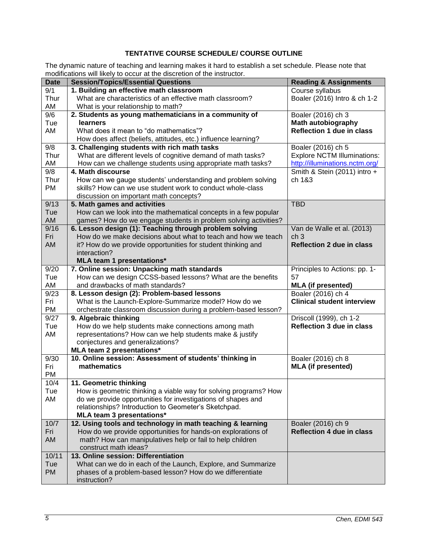# **TENTATIVE COURSE SCHEDULE/ COURSE OUTLINE**

The dynamic nature of teaching and learning makes it hard to establish a set schedule. Please note that modifications will likely to occur at the discretion of the instructor.

| <b>Date</b> | modifications will likely to occur at the discretion of the instructor.<br><b>Session/Topics/Essential Questions</b> | <b>Reading &amp; Assignments</b>                            |
|-------------|----------------------------------------------------------------------------------------------------------------------|-------------------------------------------------------------|
|             |                                                                                                                      |                                                             |
| 9/1         | 1. Building an effective math classroom                                                                              | Course syllabus                                             |
| Thur        | What are characteristics of an effective math classroom?                                                             | Boaler (2016) Intro & ch 1-2                                |
| AM          | What is your relationship to math?                                                                                   |                                                             |
| 9/6         | 2. Students as young mathematicians in a community of                                                                | Boaler (2016) ch 3                                          |
| Tue         | learners                                                                                                             | <b>Math autobiography</b>                                   |
| AM          | What does it mean to "do mathematics"?                                                                               | <b>Reflection 1 due in class</b>                            |
|             | How does affect (beliefs, attitudes, etc.) influence learning?                                                       |                                                             |
| 9/8         | 3. Challenging students with rich math tasks                                                                         | Boaler (2016) ch 5                                          |
| Thur        | What are different levels of cognitive demand of math tasks?                                                         | <b>Explore NCTM Illuminations:</b>                          |
| AM          | How can we challenge students using appropriate math tasks?                                                          | http://illuminations.nctm.org/                              |
| 9/8         | 4. Math discourse                                                                                                    | Smith & Stein (2011) intro +                                |
| Thur        | How can we gauge students' understanding and problem solving                                                         | ch 1&3                                                      |
| <b>PM</b>   | skills? How can we use student work to conduct whole-class                                                           |                                                             |
|             | discussion on important math concepts?                                                                               |                                                             |
| 9/13        | 5. Math games and activities                                                                                         | <b>TBD</b>                                                  |
| Tue         | How can we look into the mathematical concepts in a few popular                                                      |                                                             |
| AM          | games? How do we engage students in problem solving activities?                                                      |                                                             |
| 9/16        | 6. Lesson design (1): Teaching through problem solving                                                               | Van de Walle et al. (2013)                                  |
| Fri         | How do we make decisions about what to teach and how we teach                                                        | ch <sub>3</sub><br><b>Reflection 2 due in class</b>         |
| AM          | it? How do we provide opportunities for student thinking and                                                         |                                                             |
|             | interaction?                                                                                                         |                                                             |
|             | <b>MLA team 1 presentations*</b>                                                                                     |                                                             |
| 9/20        | 7. Online session: Unpacking math standards                                                                          | Principles to Actions: pp. 1-                               |
| Tue         | How can we design CCSS-based lessons? What are the benefits                                                          | 57                                                          |
| AM          | and drawbacks of math standards?                                                                                     | <b>MLA (if presented)</b>                                   |
| 9/23        | 8. Lesson design (2): Problem-based lessons                                                                          | Boaler (2016) ch 4                                          |
| Fri         | What is the Launch-Explore-Summarize model? How do we                                                                | <b>Clinical student interview</b>                           |
| PM<br>9/27  | orchestrate classroom discussion during a problem-based lesson?                                                      |                                                             |
| Tue         | 9. Algebraic thinking                                                                                                | Driscoll (1999), ch 1-2<br><b>Reflection 3 due in class</b> |
| AM          | How do we help students make connections among math                                                                  |                                                             |
|             | representations? How can we help students make & justify                                                             |                                                             |
|             | conjectures and generalizations?<br><b>MLA team 2 presentations*</b>                                                 |                                                             |
| 9/30        | 10. Online session: Assessment of students' thinking in                                                              | Boaler (2016) ch 8                                          |
| Fri         | mathematics                                                                                                          | <b>MLA (if presented)</b>                                   |
| PM          |                                                                                                                      |                                                             |
| 10/4        | 11. Geometric thinking                                                                                               |                                                             |
| Tue         | How is geometric thinking a viable way for solving programs? How                                                     |                                                             |
| AM          | do we provide opportunities for investigations of shapes and                                                         |                                                             |
|             | relationships? Introduction to Geometer's Sketchpad.                                                                 |                                                             |
|             | MLA team 3 presentations*                                                                                            |                                                             |
| 10/7        | 12. Using tools and technology in math teaching & learning                                                           | Boaler (2016) ch 9                                          |
| Fri         | How do we provide opportunities for hands-on explorations of                                                         | <b>Reflection 4 due in class</b>                            |
| AM          | math? How can manipulatives help or fail to help children                                                            |                                                             |
|             | construct math ideas?                                                                                                |                                                             |
| 10/11       | 13. Online session: Differentiation                                                                                  |                                                             |
| Tue         | What can we do in each of the Launch, Explore, and Summarize                                                         |                                                             |
| <b>PM</b>   | phases of a problem-based lesson? How do we differentiate                                                            |                                                             |
|             | instruction?                                                                                                         |                                                             |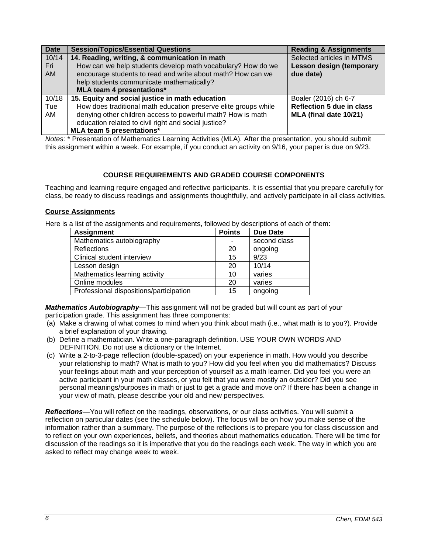| <b>Date</b> | <b>Session/Topics/Essential Questions</b>                       | <b>Reading &amp; Assignments</b> |
|-------------|-----------------------------------------------------------------|----------------------------------|
| 10/14       | 14. Reading, writing, & communication in math                   | Selected articles in MTMS        |
| Fri         | How can we help students develop math vocabulary? How do we     | Lesson design (temporary         |
| AM.         | encourage students to read and write about math? How can we     | due date)                        |
|             | help students communicate mathematically?                       |                                  |
|             | <b>MLA team 4 presentations*</b>                                |                                  |
| 10/18       | 15. Equity and social justice in math education                 | Boaler (2016) ch 6-7             |
| Tue         | How does traditional math education preserve elite groups while | <b>Reflection 5 due in class</b> |
| AM          | denying other children access to powerful math? How is math     | MLA (final date 10/21)           |
|             | education related to civil right and social justice?            |                                  |
|             | MLA team 5 presentations*                                       |                                  |

*Notes:* \* Presentation of Mathematics Learning Activities (MLA)*.* After the presentation, you should submit this assignment within a week. For example, if you conduct an activity on 9/16, your paper is due on 9/23.

## **COURSE REQUIREMENTS AND GRADED COURSE COMPONENTS**

Teaching and learning require engaged and reflective participants. It is essential that you prepare carefully for class, be ready to discuss readings and assignments thoughtfully, and actively participate in all class activities.

### **Course Assignments**

Here is a list of the assignments and requirements, followed by descriptions of each of them:

| <b>Assignment</b>                       | <b>Points</b> | <b>Due Date</b> |
|-----------------------------------------|---------------|-----------------|
| Mathematics autobiography               |               | second class    |
| <b>Reflections</b>                      | 20            | ongoing         |
| Clinical student interview              | 15            | 9/23            |
| Lesson design                           | 20            | 10/14           |
| Mathematics learning activity           | 10            | varies          |
| Online modules                          | 20            | varies          |
| Professional dispositions/participation | 15            | ongoing         |

*Mathematics Autobiography*—This assignment will not be graded but will count as part of your participation grade. This assignment has three components:

- (a) Make a drawing of what comes to mind when you think about math (i.e., what math is to you?). Provide a brief explanation of your drawing.
- (b) Define a mathematician. Write a one-paragraph definition. USE YOUR OWN WORDS AND DEFINITION. Do not use a dictionary or the Internet.
- (c) Write a 2-to-3-page reflection (double-spaced) on your experience in math. How would you describe your relationship to math? What is math to you? How did you feel when you did mathematics? Discuss your feelings about math and your perception of yourself as a math learner. Did you feel you were an active participant in your math classes, or you felt that you were mostly an outsider? Did you see personal meanings/purposes in math or just to get a grade and move on? If there has been a change in your view of math, please describe your old and new perspectives.

*Reflections*—You will reflect on the readings, observations, or our class activities. You will submit a reflection on particular dates (see the schedule below). The focus will be on how you make sense of the information rather than a summary. The purpose of the reflections is to prepare you for class discussion and to reflect on your own experiences, beliefs, and theories about mathematics education. There will be time for discussion of the readings so it is imperative that you do the readings each week. The way in which you are asked to reflect may change week to week.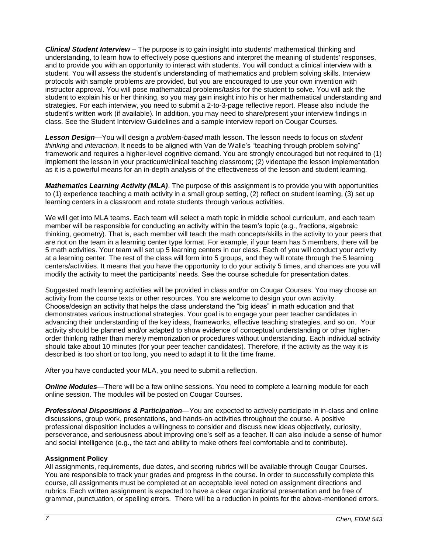*Clinical Student Interview* – The purpose is to gain insight into students' mathematical thinking and understanding, to learn how to effectively pose questions and interpret the meaning of students' responses, and to provide you with an opportunity to interact with students. You will conduct a clinical interview with a student. You will assess the student's understanding of mathematics and problem solving skills. Interview protocols with sample problems are provided, but you are encouraged to use your own invention with instructor approval. You will pose mathematical problems/tasks for the student to solve. You will ask the student to explain his or her thinking, so you may gain insight into his or her mathematical understanding and strategies. For each interview, you need to submit a 2-to-3-page reflective report. Please also include the student's written work (if available). In addition, you may need to share/present your interview findings in class. See the Student Interview Guidelines and a sample interview report on Cougar Courses.

*Lesson Design*—You will design a *problem-based* math lesson. The lesson needs to focus on *student thinking* and *interaction*. It needs to be aligned with Van de Walle's "teaching through problem solving" framework and requires a higher-level cognitive demand. You are strongly encouraged but not required to (1) implement the lesson in your practicum/clinical teaching classroom; (2) videotape the lesson implementation as it is a powerful means for an in-depth analysis of the effectiveness of the lesson and student learning.

*Mathematics Learning Activity (MLA)*. The purpose of this assignment is to provide you with opportunities to (1) experience teaching a math activity in a small group setting, (2) reflect on student learning, (3) set up learning centers in a classroom and rotate students through various activities.

We will get into MLA teams. Each team will select a math topic in middle school curriculum, and each team member will be responsible for conducting an activity within the team's topic (e.g., fractions, algebraic thinking, geometry). That is, each member will teach the math concepts/skills in the activity to your peers that are not on the team in a learning center type format. For example, if your team has 5 members, there will be 5 math activities. Your team will set up 5 learning centers in our class. Each of you will conduct your activity at a learning center. The rest of the class will form into 5 groups, and they will rotate through the 5 learning centers/activities. It means that you have the opportunity to do your activity 5 times, and chances are you will modify the activity to meet the participants' needs. See the course schedule for presentation dates.

Suggested math learning activities will be provided in class and/or on Cougar Courses. You may choose an activity from the course texts or other resources. You are welcome to design your own activity. Choose/design an activity that helps the class understand the "big ideas" in math education and that demonstrates various instructional strategies. Your goal is to engage your peer teacher candidates in advancing their understanding of the key ideas, frameworks, effective teaching strategies, and so on. Your activity should be planned and/or adapted to show evidence of conceptual understanding or other higherorder thinking rather than merely memorization or procedures without understanding. Each individual activity should take about 10 minutes (for your peer teacher candidates). Therefore, if the activity as the way it is described is too short or too long, you need to adapt it to fit the time frame.

After you have conducted your MLA, you need to submit a reflection.

**Online Modules**—There will be a few online sessions. You need to complete a learning module for each online session. The modules will be posted on Cougar Courses.

*Professional Dispositions & Participation*—You are expected to actively participate in in-class and online discussions, group work, presentations, and hands-on activities throughout the course. A positive professional disposition includes a willingness to consider and discuss new ideas objectively, curiosity, perseverance, and seriousness about improving one's self as a teacher. It can also include a sense of humor and social intelligence (e.g., the tact and ability to make others feel comfortable and to contribute).

### **Assignment Policy**

All assignments, requirements, due dates, and scoring rubrics will be available through Cougar Courses. You are responsible to track your grades and progress in the course. In order to successfully complete this course, all assignments must be completed at an acceptable level noted on assignment directions and rubrics. Each written assignment is expected to have a clear organizational presentation and be free of grammar, punctuation, or spelling errors. There will be a reduction in points for the above-mentioned errors.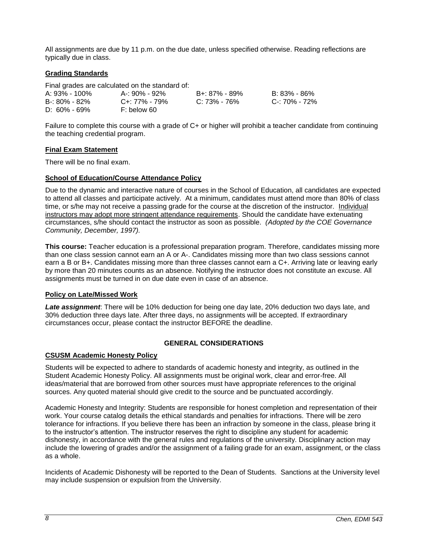All assignments are due by 11 p.m. on the due date, unless specified otherwise. Reading reflections are typically due in class.

### **Grading Standards**

Final grades are calculated on the standard of:

| A: 93% - 100%    | A-: 90% - 92%       | B+: 87% - 89% | B: 83% - 86%  |
|------------------|---------------------|---------------|---------------|
| B-: 80% - 82%    | $C_{+}$ : 77% - 79% | C: 73% - 76%  | C-: 70% - 72% |
| $D: 60\% - 69\%$ | F: below 60         |               |               |

Failure to complete this course with a grade of C+ or higher will prohibit a teacher candidate from continuing the teaching credential program.

### **Final Exam Statement**

There will be no final exam.

### **School of Education/Course Attendance Policy**

Due to the dynamic and interactive nature of courses in the School of Education, all candidates are expected to attend all classes and participate actively. At a minimum, candidates must attend more than 80% of class time, or s/he may not receive a passing grade for the course at the discretion of the instructor. Individual instructors may adopt more stringent attendance requirements. Should the candidate have extenuating circumstances, s/he should contact the instructor as soon as possible. *(Adopted by the COE Governance Community, December, 1997).*

**This course:** Teacher education is a professional preparation program. Therefore, candidates missing more than one class session cannot earn an A or A-. Candidates missing more than two class sessions cannot earn a B or B+. Candidates missing more than three classes cannot earn a C+. Arriving late or leaving early by more than 20 minutes counts as an absence. Notifying the instructor does not constitute an excuse. All assignments must be turned in on due date even in case of an absence.

### **Policy on Late/Missed Work**

*Late assignment*: There will be 10% deduction for being one day late, 20% deduction two days late, and 30% deduction three days late. After three days, no assignments will be accepted. If extraordinary circumstances occur, please contact the instructor BEFORE the deadline.

## **GENERAL CONSIDERATIONS**

### **CSUSM Academic Honesty Policy**

Students will be expected to adhere to standards of academic honesty and integrity, as outlined in the Student Academic Honesty Policy. All assignments must be original work, clear and error-free. All ideas/material that are borrowed from other sources must have appropriate references to the original sources. Any quoted material should give credit to the source and be punctuated accordingly.

Academic Honesty and Integrity: Students are responsible for honest completion and representation of their work. Your course catalog details the ethical standards and penalties for infractions. There will be zero tolerance for infractions. If you believe there has been an infraction by someone in the class, please bring it to the instructor's attention. The instructor reserves the right to discipline any student for academic dishonesty, in accordance with the general rules and regulations of the university. Disciplinary action may include the lowering of grades and/or the assignment of a failing grade for an exam, assignment, or the class as a whole.

Incidents of Academic Dishonesty will be reported to the Dean of Students. Sanctions at the University level may include suspension or expulsion from the University.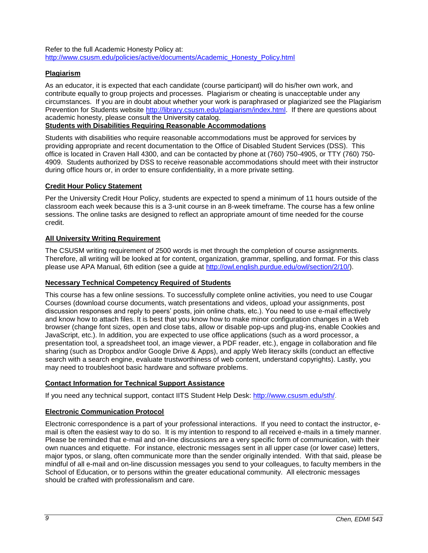Refer to the full Academic Honesty Policy at: [http://www.csusm.edu/policies/active/documents/Academic\\_Honesty\\_Policy.html](http://www.csusm.edu/policies/active/documents/Academic_Honesty_Policy.html)

## **Plagiarism**

As an educator, it is expected that each candidate (course participant) will do his/her own work, and contribute equally to group projects and processes. Plagiarism or cheating is unacceptable under any circumstances. If you are in doubt about whether your work is paraphrased or plagiarized see the Plagiarism Prevention for Students website [http://library.csusm.edu/plagiarism/index.html.](http://library.csusm.edu/plagiarism/index.html) If there are questions about academic honesty, please consult the University catalog.

## **Students with Disabilities Requiring Reasonable Accommodations**

Students with disabilities who require reasonable accommodations must be approved for services by providing appropriate and recent documentation to the Office of Disabled Student Services (DSS). This office is located in Craven Hall 4300, and can be contacted by phone at (760) 750-4905, or TTY (760) 750- 4909. Students authorized by DSS to receive reasonable accommodations should meet with their instructor during office hours or, in order to ensure confidentiality, in a more private setting.

## **Credit Hour Policy Statement**

Per the University Credit Hour Policy, students are expected to spend a minimum of 11 hours outside of the classroom each week because this is a 3-unit course in an 8-week timeframe. The course has a few online sessions. The online tasks are designed to reflect an appropriate amount of time needed for the course credit.

## **All University Writing Requirement**

The CSUSM writing requirement of 2500 words is met through the completion of course assignments. Therefore, all writing will be looked at for content, organization, grammar, spelling, and format. For this class please use APA Manual, 6th edition (see a guide at [http://owl.english.purdue.edu/owl/section/2/10/\)](http://owl.english.purdue.edu/owl/section/2/10/).

### **Necessary Technical Competency Required of Students**

This course has a few online sessions. To successfully complete online activities, you need to use Cougar Courses (download course documents, watch presentations and videos, upload your assignments, post discussion responses and reply to peers' posts, join online chats, etc.). You need to use e-mail effectively and know how to attach files. It is best that you know how to make minor configuration changes in a Web browser (change font sizes, open and close tabs, allow or disable pop-ups and plug-ins, enable Cookies and JavaScript, etc.). In addition, you are expected to use office applications (such as a word processor, a presentation tool, a spreadsheet tool, an image viewer, a PDF reader, etc.), engage in collaboration and file sharing (such as Dropbox and/or Google Drive & Apps), and apply Web literacy skills (conduct an effective search with a search engine, evaluate trustworthiness of web content, understand copyrights). Lastly, you may need to troubleshoot basic hardware and software problems.

## **Contact Information for Technical Support Assistance**

If you need any technical support, contact IITS Student Help Desk: [http://www.csusm.edu/sth/.](http://www.csusm.edu/sth/)

## **Electronic Communication Protocol**

Electronic correspondence is a part of your professional interactions. If you need to contact the instructor, email is often the easiest way to do so. It is my intention to respond to all received e-mails in a timely manner. Please be reminded that e-mail and on-line discussions are a very specific form of communication, with their own nuances and etiquette. For instance, electronic messages sent in all upper case (or lower case) letters, major typos, or slang, often communicate more than the sender originally intended. With that said, please be mindful of all e-mail and on-line discussion messages you send to your colleagues, to faculty members in the School of Education, or to persons within the greater educational community. All electronic messages should be crafted with professionalism and care.